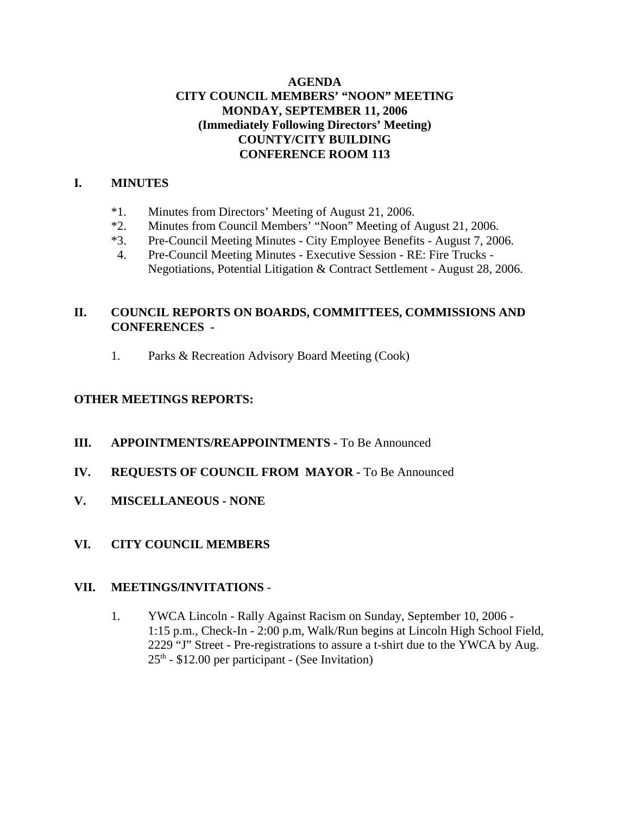# **AGENDA CITY COUNCIL MEMBERS' "NOON" MEETING MONDAY, SEPTEMBER 11, 2006 (Immediately Following Directors' Meeting) COUNTY/CITY BUILDING CONFERENCE ROOM 113**

# **I. MINUTES**

- \*1. Minutes from Directors' Meeting of August 21, 2006.
- \*2. Minutes from Council Members' "Noon" Meeting of August 21, 2006.
- \*3. Pre-Council Meeting Minutes City Employee Benefits August 7, 2006.
- 4. Pre-Council Meeting Minutes Executive Session RE: Fire Trucks Negotiations, Potential Litigation & Contract Settlement - August 28, 2006.

# **II. COUNCIL REPORTS ON BOARDS, COMMITTEES, COMMISSIONS AND CONFERENCES -**

1. Parks & Recreation Advisory Board Meeting (Cook)

# **OTHER MEETINGS REPORTS:**

- **III.** APPOINTMENTS/REAPPOINTMENTS To Be Announced
- **IV. REQUESTS OF COUNCIL FROM MAYOR -** To Be Announced
- **V. MISCELLANEOUS NONE**
- **VI. CITY COUNCIL MEMBERS**

## **VII. MEETINGS/INVITATIONS** -

1. YWCA Lincoln - Rally Against Racism on Sunday, September 10, 2006 - 1:15 p.m., Check-In - 2:00 p.m, Walk/Run begins at Lincoln High School Field, 2229 "J" Street - Pre-registrations to assure a t-shirt due to the YWCA by Aug.  $25<sup>th</sup>$  - \$12.00 per participant - (See Invitation)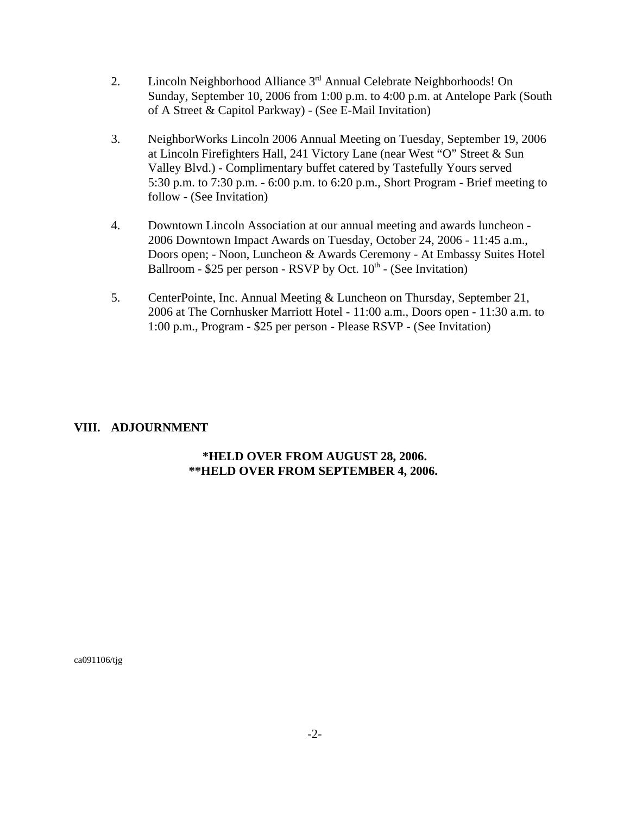- 2. Lincoln Neighborhood Alliance 3<sup>rd</sup> Annual Celebrate Neighborhoods! On Sunday, September 10, 2006 from 1:00 p.m. to 4:00 p.m. at Antelope Park (South of A Street & Capitol Parkway) - (See E-Mail Invitation)
- 3. NeighborWorks Lincoln 2006 Annual Meeting on Tuesday, September 19, 2006 at Lincoln Firefighters Hall, 241 Victory Lane (near West "O" Street & Sun Valley Blvd.) - Complimentary buffet catered by Tastefully Yours served 5:30 p.m. to 7:30 p.m. - 6:00 p.m. to 6:20 p.m., Short Program - Brief meeting to follow - (See Invitation)
- 4. Downtown Lincoln Association at our annual meeting and awards luncheon 2006 Downtown Impact Awards on Tuesday, October 24, 2006 - 11:45 a.m., Doors open; - Noon, Luncheon & Awards Ceremony - At Embassy Suites Hotel Ballroom - \$25 per person - RSVP by Oct.  $10<sup>th</sup>$  - (See Invitation)
- 5. CenterPointe, Inc. Annual Meeting & Luncheon on Thursday, September 21, 2006 at The Cornhusker Marriott Hotel - 11:00 a.m., Doors open - 11:30 a.m. to 1:00 p.m., Program **-** \$25 per person - Please RSVP - (See Invitation)

## **VIII. ADJOURNMENT**

# **\*HELD OVER FROM AUGUST 28, 2006. \*\*HELD OVER FROM SEPTEMBER 4, 2006.**

ca091106/tjg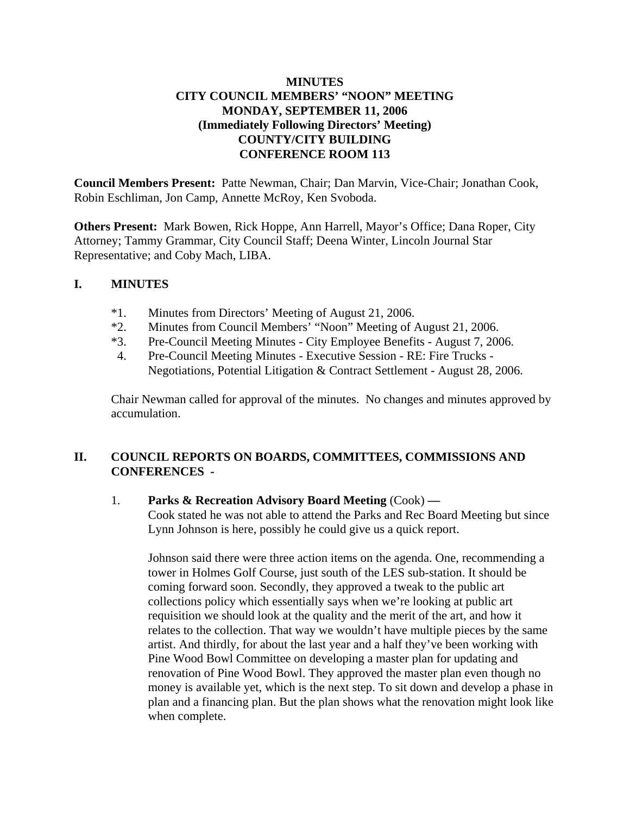# **MINUTES CITY COUNCIL MEMBERS' "NOON" MEETING MONDAY, SEPTEMBER 11, 2006 (Immediately Following Directors' Meeting) COUNTY/CITY BUILDING CONFERENCE ROOM 113**

**Council Members Present:** Patte Newman, Chair; Dan Marvin, Vice-Chair; Jonathan Cook, Robin Eschliman, Jon Camp, Annette McRoy, Ken Svoboda.

**Others Present:** Mark Bowen, Rick Hoppe, Ann Harrell, Mayor's Office; Dana Roper, City Attorney; Tammy Grammar, City Council Staff; Deena Winter, Lincoln Journal Star Representative; and Coby Mach, LIBA.

## **I. MINUTES**

- \*1. Minutes from Directors' Meeting of August 21, 2006.
- \*2. Minutes from Council Members' "Noon" Meeting of August 21, 2006.
- \*3. Pre-Council Meeting Minutes City Employee Benefits August 7, 2006.
- 4. Pre-Council Meeting Minutes Executive Session RE: Fire Trucks Negotiations, Potential Litigation & Contract Settlement - August 28, 2006.

Chair Newman called for approval of the minutes. No changes and minutes approved by accumulation.

# **II. COUNCIL REPORTS ON BOARDS, COMMITTEES, COMMISSIONS AND CONFERENCES -**

## 1. **Parks & Recreation Advisory Board Meeting** (Cook) **—**

Cook stated he was not able to attend the Parks and Rec Board Meeting but since Lynn Johnson is here, possibly he could give us a quick report.

Johnson said there were three action items on the agenda. One, recommending a tower in Holmes Golf Course, just south of the LES sub-station. It should be coming forward soon. Secondly, they approved a tweak to the public art collections policy which essentially says when we're looking at public art requisition we should look at the quality and the merit of the art, and how it relates to the collection. That way we wouldn't have multiple pieces by the same artist. And thirdly, for about the last year and a half they've been working with Pine Wood Bowl Committee on developing a master plan for updating and renovation of Pine Wood Bowl. They approved the master plan even though no money is available yet, which is the next step. To sit down and develop a phase in plan and a financing plan. But the plan shows what the renovation might look like when complete.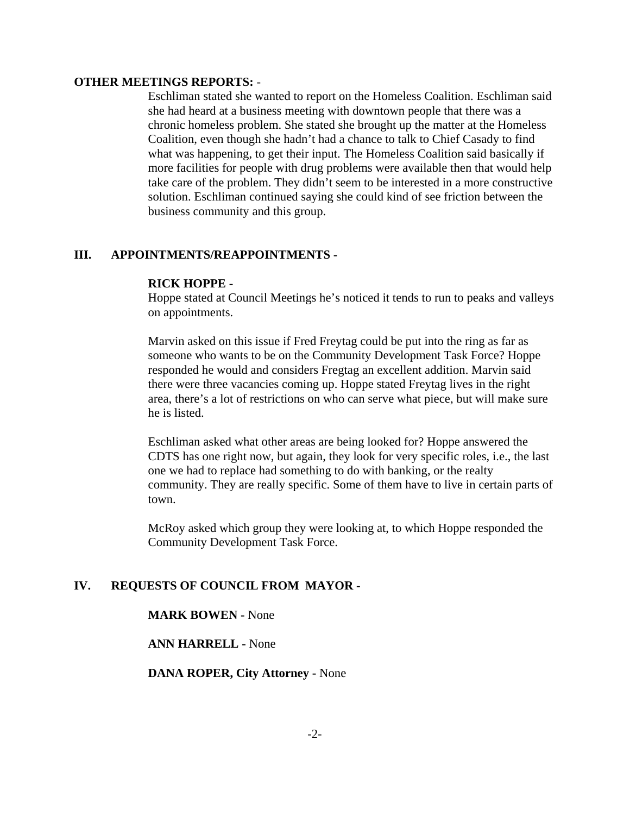### **OTHER MEETINGS REPORTS:** -

Eschliman stated she wanted to report on the Homeless Coalition. Eschliman said she had heard at a business meeting with downtown people that there was a chronic homeless problem. She stated she brought up the matter at the Homeless Coalition, even though she hadn't had a chance to talk to Chief Casady to find what was happening, to get their input. The Homeless Coalition said basically if more facilities for people with drug problems were available then that would help take care of the problem. They didn't seem to be interested in a more constructive solution. Eschliman continued saying she could kind of see friction between the business community and this group.

## **III. APPOINTMENTS/REAPPOINTMENTS -**

#### **RICK HOPPE -**

Hoppe stated at Council Meetings he's noticed it tends to run to peaks and valleys on appointments.

Marvin asked on this issue if Fred Freytag could be put into the ring as far as someone who wants to be on the Community Development Task Force? Hoppe responded he would and considers Fregtag an excellent addition. Marvin said there were three vacancies coming up. Hoppe stated Freytag lives in the right area, there's a lot of restrictions on who can serve what piece, but will make sure he is listed.

Eschliman asked what other areas are being looked for? Hoppe answered the CDTS has one right now, but again, they look for very specific roles, i.e., the last one we had to replace had something to do with banking, or the realty community. They are really specific. Some of them have to live in certain parts of town.

McRoy asked which group they were looking at, to which Hoppe responded the Community Development Task Force.

### **IV. REQUESTS OF COUNCIL FROM MAYOR -**

#### **MARK BOWEN -** None

#### **ANN HARRELL -** None

**DANA ROPER, City Attorney -** None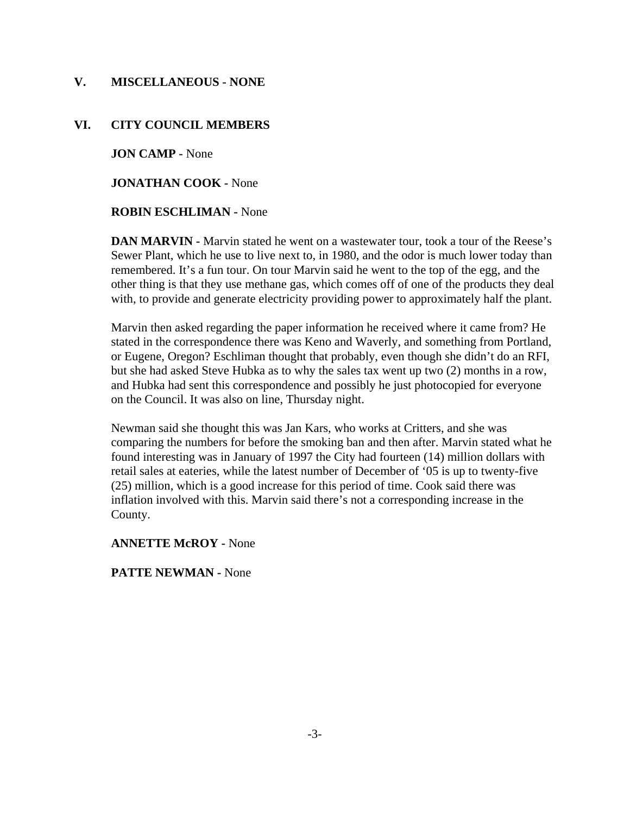## **V. MISCELLANEOUS - NONE**

### **VI. CITY COUNCIL MEMBERS**

**JON CAMP -** None

**JONATHAN COOK -** None

### **ROBIN ESCHLIMAN -** None

**DAN MARVIN -** Marvin stated he went on a wastewater tour, took a tour of the Reese's Sewer Plant, which he use to live next to, in 1980, and the odor is much lower today than remembered. It's a fun tour. On tour Marvin said he went to the top of the egg, and the other thing is that they use methane gas, which comes off of one of the products they deal with, to provide and generate electricity providing power to approximately half the plant.

Marvin then asked regarding the paper information he received where it came from? He stated in the correspondence there was Keno and Waverly, and something from Portland, or Eugene, Oregon? Eschliman thought that probably, even though she didn't do an RFI, but she had asked Steve Hubka as to why the sales tax went up two (2) months in a row, and Hubka had sent this correspondence and possibly he just photocopied for everyone on the Council. It was also on line, Thursday night.

Newman said she thought this was Jan Kars, who works at Critters, and she was comparing the numbers for before the smoking ban and then after. Marvin stated what he found interesting was in January of 1997 the City had fourteen (14) million dollars with retail sales at eateries, while the latest number of December of '05 is up to twenty-five (25) million, which is a good increase for this period of time. Cook said there was inflation involved with this. Marvin said there's not a corresponding increase in the County.

### **ANNETTE McROY -** None

### **PATTE NEWMAN -** None